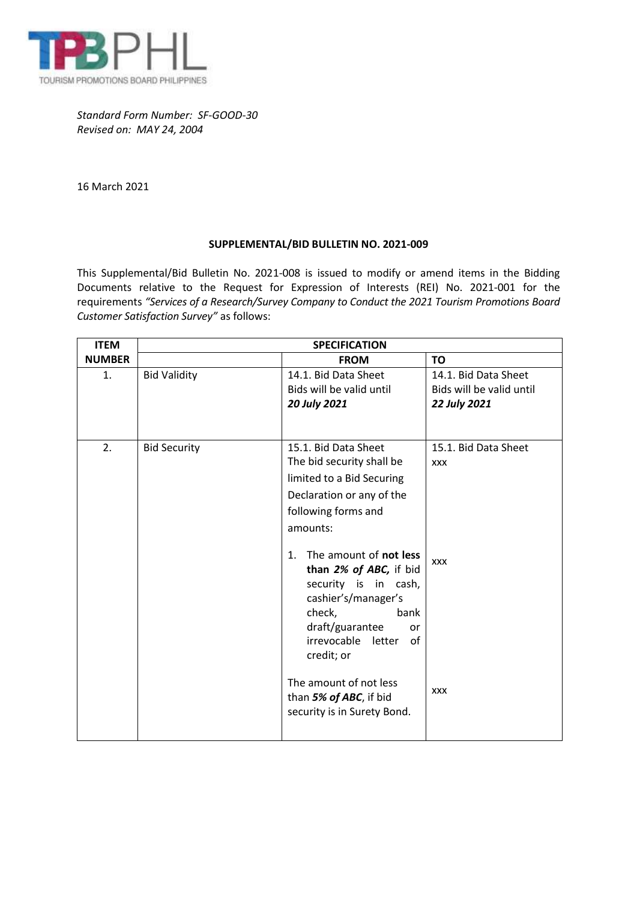

*Standard Form Number: SF-GOOD-30 Revised on: MAY 24, 2004*

16 March 2021

## **SUPPLEMENTAL/BID BULLETIN NO. 2021-009**

This Supplemental/Bid Bulletin No. 2021-008 is issued to modify or amend items in the Bidding Documents relative to the Request for Expression of Interests (REI) No. 2021-001 for the requirements *"Services of a Research/Survey Company to Conduct the 2021 Tourism Promotions Board Customer Satisfaction Survey"* as follows:

| <b>ITEM</b>   | <b>SPECIFICATION</b> |                                                                                                                                                                                                                                                                                                                                                                           |                                                                  |  |
|---------------|----------------------|---------------------------------------------------------------------------------------------------------------------------------------------------------------------------------------------------------------------------------------------------------------------------------------------------------------------------------------------------------------------------|------------------------------------------------------------------|--|
| <b>NUMBER</b> |                      | <b>FROM</b>                                                                                                                                                                                                                                                                                                                                                               | <b>TO</b>                                                        |  |
| 1.            | <b>Bid Validity</b>  | 14.1. Bid Data Sheet<br>Bids will be valid until<br>20 July 2021                                                                                                                                                                                                                                                                                                          | 14.1. Bid Data Sheet<br>Bids will be valid until<br>22 July 2021 |  |
| 2.            | <b>Bid Security</b>  | 15.1. Bid Data Sheet<br>The bid security shall be<br>limited to a Bid Securing<br>Declaration or any of the<br>following forms and<br>amounts:<br>The amount of not less<br>1.<br>than 2% of ABC, if bid<br>security is in cash,<br>cashier's/manager's<br>check,<br>bank<br>draft/guarantee<br>or<br>irrevocable<br>letter<br>of<br>credit; or<br>The amount of not less | 15.1. Bid Data Sheet<br><b>XXX</b><br><b>XXX</b>                 |  |
|               |                      | than 5% of ABC, if bid<br>security is in Surety Bond.                                                                                                                                                                                                                                                                                                                     | <b>XXX</b>                                                       |  |